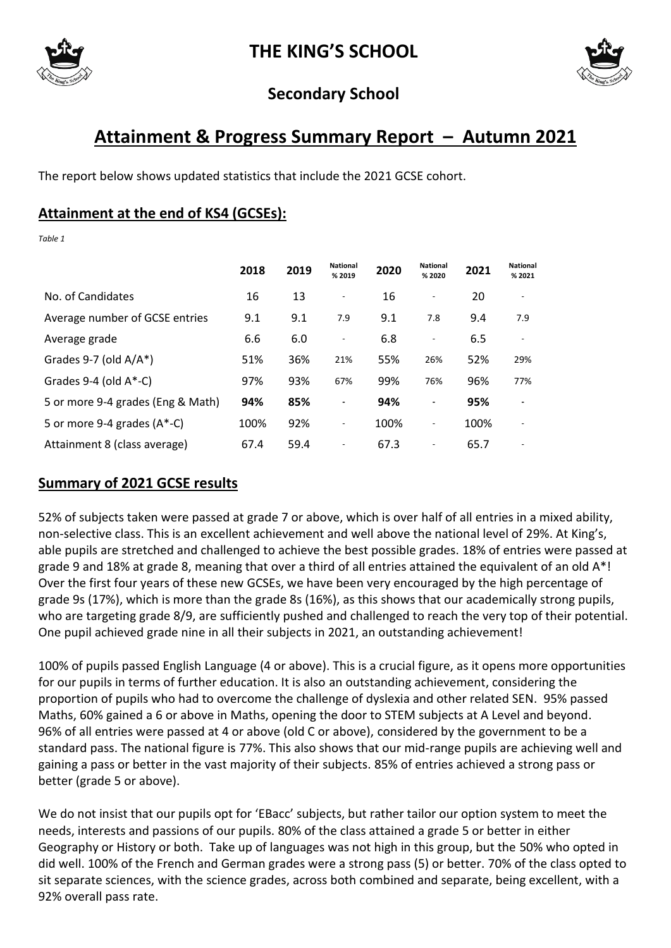

**THE KING'S SCHOOL**



## **Secondary School**

# **Attainment & Progress Summary Report – Autumn 2021**

The report below shows updated statistics that include the 2021 GCSE cohort.

### **Attainment at the end of KS4 (GCSEs):**

*Table 1*

|                                   | 2018 | 2019 | <b>National</b><br>% 2019 | 2020 | <b>National</b><br>% 2020 | 2021 | <b>National</b><br>% 2021 |
|-----------------------------------|------|------|---------------------------|------|---------------------------|------|---------------------------|
| No. of Candidates                 | 16   | 13   | $\overline{\phantom{a}}$  | 16   |                           | 20   |                           |
| Average number of GCSE entries    | 9.1  | 9.1  | 7.9                       | 9.1  | 7.8                       | 9.4  | 7.9                       |
| Average grade                     | 6.6  | 6.0  | $\overline{\phantom{a}}$  | 6.8  | ÷,                        | 6.5  | $\overline{\phantom{a}}$  |
| Grades 9-7 (old $A/A^*$ )         | 51%  | 36%  | 21%                       | 55%  | 26%                       | 52%  | 29%                       |
| Grades $9-4$ (old $A*-C$ )        | 97%  | 93%  | 67%                       | 99%  | 76%                       | 96%  | 77%                       |
| 5 or more 9-4 grades (Eng & Math) | 94%  | 85%  | $\blacksquare$            | 94%  | ä,                        | 95%  |                           |
| 5 or more 9-4 grades $(A^*$ -C)   | 100% | 92%  | $\overline{\phantom{a}}$  | 100% | ٠                         | 100% |                           |
| Attainment 8 (class average)      | 67.4 | 59.4 | $\overline{\phantom{a}}$  | 67.3 |                           | 65.7 |                           |

### **Summary of 2021 GCSE results**

52% of subjects taken were passed at grade 7 or above, which is over half of all entries in a mixed ability, non-selective class. This is an excellent achievement and well above the national level of 29%. At King's, able pupils are stretched and challenged to achieve the best possible grades. 18% of entries were passed at grade 9 and 18% at grade 8, meaning that over a third of all entries attained the equivalent of an old A\*! Over the first four years of these new GCSEs, we have been very encouraged by the high percentage of grade 9s (17%), which is more than the grade 8s (16%), as this shows that our academically strong pupils, who are targeting grade 8/9, are sufficiently pushed and challenged to reach the very top of their potential. One pupil achieved grade nine in all their subjects in 2021, an outstanding achievement!

100% of pupils passed English Language (4 or above). This is a crucial figure, as it opens more opportunities for our pupils in terms of further education. It is also an outstanding achievement, considering the proportion of pupils who had to overcome the challenge of dyslexia and other related SEN. 95% passed Maths, 60% gained a 6 or above in Maths, opening the door to STEM subjects at A Level and beyond. 96% of all entries were passed at 4 or above (old C or above), considered by the government to be a standard pass. The national figure is 77%. This also shows that our mid-range pupils are achieving well and gaining a pass or better in the vast majority of their subjects. 85% of entries achieved a strong pass or better (grade 5 or above).

We do not insist that our pupils opt for 'EBacc' subjects, but rather tailor our option system to meet the needs, interests and passions of our pupils. 80% of the class attained a grade 5 or better in either Geography or History or both. Take up of languages was not high in this group, but the 50% who opted in did well. 100% of the French and German grades were a strong pass (5) or better. 70% of the class opted to sit separate sciences, with the science grades, across both combined and separate, being excellent, with a 92% overall pass rate.